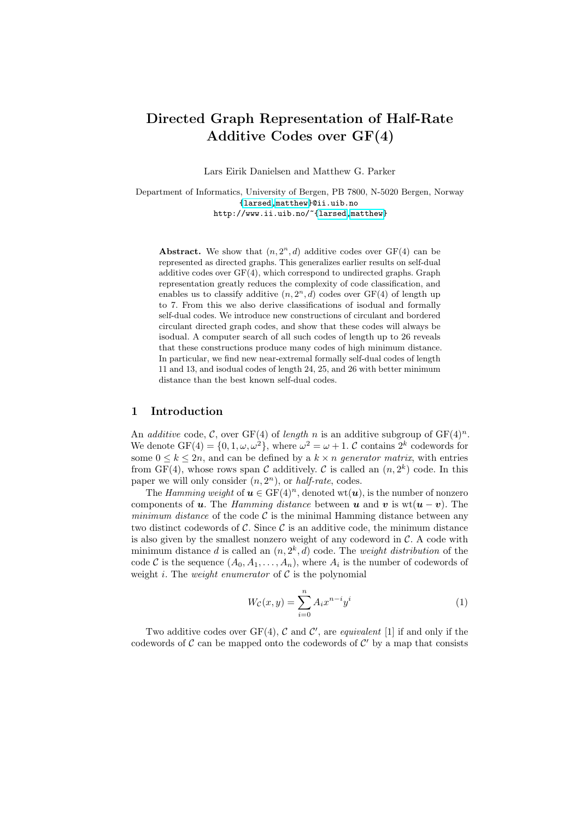# Directed Graph Representation of Half-Rate Additive Codes over GF(4)

Lars Eirik Danielsen and Matthew G. Parker

Department of Informatics, University of Bergen, PB 7800, N-5020 Bergen, Norway [{larsed,](mailto:larsed@ii.uib.no)[matthew}](mailto:matthew@ii.uib.no)@ii.uib.no http://www.ii.uib.no/~[{larsed,](http://www.ii.uib.no/~larsed)[matthew}](http://www.ii.uib.no/~matthew)

Abstract. We show that  $(n, 2<sup>n</sup>, d)$  additive codes over GF(4) can be represented as directed graphs. This generalizes earlier results on self-dual additive codes over GF(4), which correspond to undirected graphs. Graph representation greatly reduces the complexity of code classification, and enables us to classify additive  $(n, 2<sup>n</sup>, d)$  codes over GF(4) of length up to 7. From this we also derive classifications of isodual and formally self-dual codes. We introduce new constructions of circulant and bordered circulant directed graph codes, and show that these codes will always be isodual. A computer search of all such codes of length up to 26 reveals that these constructions produce many codes of high minimum distance. In particular, we find new near-extremal formally self-dual codes of length 11 and 13, and isodual codes of length 24, 25, and 26 with better minimum distance than the best known self-dual codes.

# 1 Introduction

An *additive* code, C, over GF(4) of *length* n is an additive subgroup of  $GF(4)^n$ . We denote  $GF(4) = \{0, 1, \omega, \omega^2\}$ , where  $\omega^2 = \omega + 1$ . C contains  $2^k$  codewords for some  $0 \leq k \leq 2n$ , and can be defined by a  $k \times n$  generator matrix, with entries from GF(4), whose rows span C additively. C is called an  $(n, 2<sup>k</sup>)$  code. In this paper we will only consider  $(n, 2<sup>n</sup>)$ , or *half-rate*, codes.

The Hamming weight of  $u \in GF(4)^n$ , denoted wt $(u)$ , is the number of nonzero components of u. The Hamming distance between u and v is wt( $u - v$ ). The minimum distance of the code  $\mathcal C$  is the minimal Hamming distance between any two distinct codewords of  $\mathcal{C}$ . Since  $\mathcal{C}$  is an additive code, the minimum distance is also given by the smallest nonzero weight of any codeword in  $\mathcal{C}$ . A code with minimum distance d is called an  $(n, 2<sup>k</sup>, d)$  code. The *weight distribution* of the code C is the sequence  $(A_0, A_1, \ldots, A_n)$ , where  $A_i$  is the number of codewords of weight i. The *weight enumerator* of  $C$  is the polynomial

$$
W_{\mathcal{C}}(x,y) = \sum_{i=0}^{n} A_i x^{n-i} y^i
$$
 (1)

Two additive codes over  $GF(4)$ , C and C', are equivalent [1] if and only if the codewords of  $\mathcal C$  can be mapped onto the codewords of  $\mathcal C'$  by a map that consists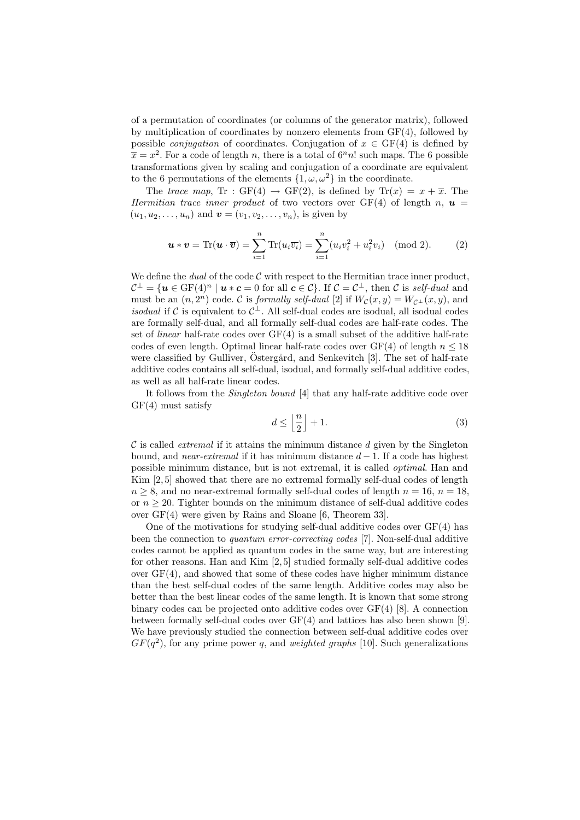of a permutation of coordinates (or columns of the generator matrix), followed by multiplication of coordinates by nonzero elements from  $GF(4)$ , followed by possible *conjugation* of coordinates. Conjugation of  $x \in \text{GF}(4)$  is defined by  $\bar{x} = x^2$ . For a code of length n, there is a total of  $6<sup>n</sup>n!$  such maps. The 6 possible transformations given by scaling and conjugation of a coordinate are equivalent to the 6 permutations of the elements  $\{1, \omega, \omega^2\}$  in the coordinate.

The trace map, Tr : GF(4)  $\rightarrow$  GF(2), is defined by Tr(x) =  $x + \overline{x}$ . The Hermitian trace inner product of two vectors over GF(4) of length n,  $\mathbf{u} =$  $(u_1, u_2, \ldots, u_n)$  and  $\mathbf{v} = (v_1, v_2, \ldots, v_n)$ , is given by

$$
\mathbf{u} * \mathbf{v} = \text{Tr}(\mathbf{u} \cdot \overline{\mathbf{v}}) = \sum_{i=1}^{n} \text{Tr}(u_i \overline{v_i}) = \sum_{i=1}^{n} (u_i v_i^2 + u_i^2 v_i) \pmod{2}.
$$
 (2)

We define the *dual* of the code  $C$  with respect to the Hermitian trace inner product,  $\mathcal{C}^{\perp} = \{ \boldsymbol{u} \in \mathrm{GF}(4)^n \mid \boldsymbol{u} * \boldsymbol{c} = 0 \text{ for all } \boldsymbol{c} \in \mathcal{C} \}.$  If  $\mathcal{C} = \mathcal{C}^{\perp}$ , then  $\mathcal{C}$  is self-dual and must be an  $(n, 2<sup>n</sup>)$  code. C is *formally self-dual* [2] if  $W_{\mathcal{C}}(x, y) = W_{\mathcal{C}^{\perp}}(x, y)$ , and *isodual* if C is equivalent to  $C^{\perp}$ . All self-dual codes are isodual, all isodual codes are formally self-dual, and all formally self-dual codes are half-rate codes. The set of *linear* half-rate codes over  $GF(4)$  is a small subset of the additive half-rate codes of even length. Optimal linear half-rate codes over  $GF(4)$  of length  $n \leq 18$ were classified by Gulliver, Östergård, and Senkevitch [3]. The set of half-rate additive codes contains all self-dual, isodual, and formally self-dual additive codes, as well as all half-rate linear codes.

It follows from the Singleton bound [4] that any half-rate additive code over  $GF(4)$  must satisfy

$$
d \le \left\lfloor \frac{n}{2} \right\rfloor + 1. \tag{3}
$$

 $\mathcal C$  is called *extremal* if it attains the minimum distance d given by the Singleton bound, and near-extremal if it has minimum distance  $d-1$ . If a code has highest possible minimum distance, but is not extremal, it is called optimal. Han and Kim [2, 5] showed that there are no extremal formally self-dual codes of length  $n \geq 8$ , and no near-extremal formally self-dual codes of length  $n = 16$ ,  $n = 18$ , or  $n \geq 20$ . Tighter bounds on the minimum distance of self-dual additive codes over GF(4) were given by Rains and Sloane [6, Theorem 33].

One of the motivations for studying self-dual additive codes over GF(4) has been the connection to quantum error-correcting codes [7]. Non-self-dual additive codes cannot be applied as quantum codes in the same way, but are interesting for other reasons. Han and Kim [2, 5] studied formally self-dual additive codes over  $GF(4)$ , and showed that some of these codes have higher minimum distance than the best self-dual codes of the same length. Additive codes may also be better than the best linear codes of the same length. It is known that some strong binary codes can be projected onto additive codes over GF(4) [8]. A connection between formally self-dual codes over  $GF(4)$  and lattices has also been shown [9]. We have previously studied the connection between self-dual additive codes over  $GF(q^2)$ , for any prime power q, and weighted graphs [10]. Such generalizations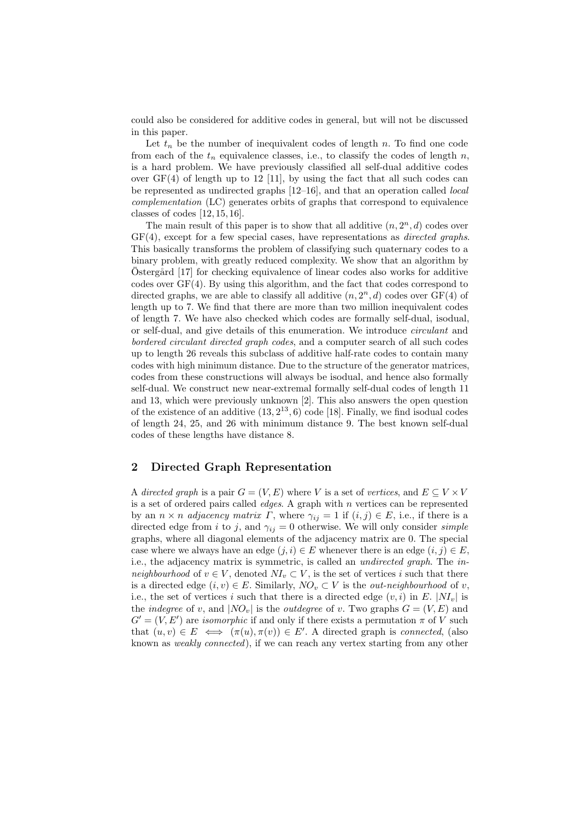could also be considered for additive codes in general, but will not be discussed in this paper.

Let  $t_n$  be the number of inequivalent codes of length n. To find one code from each of the  $t_n$  equivalence classes, i.e., to classify the codes of length n, is a hard problem. We have previously classified all self-dual additive codes over  $GF(4)$  of length up to 12 [11], by using the fact that all such codes can be represented as undirected graphs [12–16], and that an operation called local complementation (LC) generates orbits of graphs that correspond to equivalence classes of codes [12, 15, 16].

The main result of this paper is to show that all additive  $(n, 2<sup>n</sup>, d)$  codes over  $GF(4)$ , except for a few special cases, have representations as *directed graphs*. This basically transforms the problem of classifying such quaternary codes to a binary problem, with greatly reduced complexity. We show that an algorithm by  $Östergård [17]$  for checking equivalence of linear codes also works for additive codes over  $GF(4)$ . By using this algorithm, and the fact that codes correspond to directed graphs, we are able to classify all additive  $(n, 2<sup>n</sup>, d)$  codes over  $GF(4)$  of length up to 7. We find that there are more than two million inequivalent codes of length 7. We have also checked which codes are formally self-dual, isodual, or self-dual, and give details of this enumeration. We introduce circulant and bordered circulant directed graph codes, and a computer search of all such codes up to length 26 reveals this subclass of additive half-rate codes to contain many codes with high minimum distance. Due to the structure of the generator matrices, codes from these constructions will always be isodual, and hence also formally self-dual. We construct new near-extremal formally self-dual codes of length 11 and 13, which were previously unknown [2]. This also answers the open question of the existence of an additive  $(13, 2^{13}, 6)$  code [18]. Finally, we find isodual codes of length 24, 25, and 26 with minimum distance 9. The best known self-dual codes of these lengths have distance 8.

# 2 Directed Graph Representation

A directed graph is a pair  $G = (V, E)$  where V is a set of vertices, and  $E \subseteq V \times V$ is a set of ordered pairs called *edges*. A graph with  $n$  vertices can be represented by an  $n \times n$  adjacency matrix  $\Gamma$ , where  $\gamma_{ij} = 1$  if  $(i, j) \in E$ , i.e., if there is a directed edge from i to j, and  $\gamma_{ij} = 0$  otherwise. We will only consider *simple* graphs, where all diagonal elements of the adjacency matrix are 0. The special case where we always have an edge  $(j, i) \in E$  whenever there is an edge  $(i, j) \in E$ , i.e., the adjacency matrix is symmetric, is called an undirected graph. The inneighbourhood of  $v \in V$ , denoted  $NI_v \subset V$ , is the set of vertices i such that there is a directed edge  $(i, v) \in E$ . Similarly,  $NO_v \subset V$  is the *out-neighbourhood* of v, i.e., the set of vertices i such that there is a directed edge  $(v, i)$  in E.  $|N I_v|$  is the *indegree* of v, and  $|NO_v|$  is the *outdegree* of v. Two graphs  $G = (V, E)$  and  $G' = (V, E')$  are *isomorphic* if and only if there exists a permutation  $\pi$  of V such that  $(u, v) \in E \iff (\pi(u), \pi(v)) \in E'$ . A directed graph is *connected*, (also known as weakly connected), if we can reach any vertex starting from any other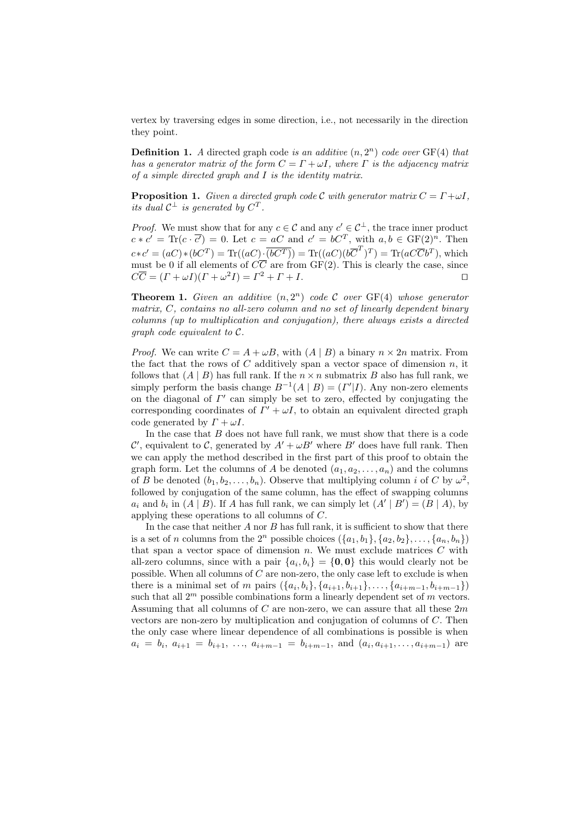vertex by traversing edges in some direction, i.e., not necessarily in the direction they point.

**Definition 1.** A directed graph code is an additive  $(n, 2<sup>n</sup>)$  code over  $GF(4)$  that has a generator matrix of the form  $C = \Gamma + \omega I$ , where  $\Gamma$  is the adjacency matrix of a simple directed graph and I is the identity matrix.

<span id="page-3-0"></span>**Proposition 1.** Given a directed graph code C with generator matrix  $C = \Gamma + \omega I$ , its dual  $C^{\perp}$  is generated by  $C^{T}$ .

*Proof.* We must show that for any  $c \in \mathcal{C}$  and any  $c' \in \mathcal{C}^{\perp}$ , the trace inner product  $c * c' = \text{Tr}(c \cdot \overline{c'}) = 0.$  Let  $c = aC$  and  $c' = bC^T$ , with  $a, b \in \text{GF}(2)^n$ . Then  $c*c' = (aC)*(bC^T) = \text{Tr}((aC)\cdot \overline{(bC^T)}) = \text{Tr}((aC)(b\overline{C}^T)^T) = \text{Tr}(aC\overline{C}b^T)$ , which must be 0 if all elements of  $C\overline{C}$  are from GF(2). This is clearly the case, since  $C\overline{C} = (\Gamma + \omega I)(\Gamma + \omega^2 I) = \Gamma^2 + \Gamma + I.$ 

<span id="page-3-1"></span>**Theorem 1.** Given an additive  $(n, 2^n)$  code C over GF(4) whose generator matrix, C, contains no all-zero column and no set of linearly dependent binary columns (up to multiplication and conjugation), there always exists a directed graph code equivalent to C.

*Proof.* We can write  $C = A + \omega B$ , with  $(A | B)$  a binary  $n \times 2n$  matrix. From the fact that the rows of  $C$  additively span a vector space of dimension  $n$ , it follows that  $(A | B)$  has full rank. If the  $n \times n$  submatrix B also has full rank, we simply perform the basis change  $B^{-1}(A | B) = (I' | I)$ . Any non-zero elements on the diagonal of  $\Gamma'$  can simply be set to zero, effected by conjugating the corresponding coordinates of  $\Gamma' + \omega I$ , to obtain an equivalent directed graph code generated by  $\Gamma + \omega I$ .

In the case that  $B$  does not have full rank, we must show that there is a code C', equivalent to C, generated by  $A' + \omega B'$  where B' does have full rank. Then we can apply the method described in the first part of this proof to obtain the graph form. Let the columns of A be denoted  $(a_1, a_2, \ldots, a_n)$  and the columns of B be denoted  $(b_1, b_2, \ldots, b_n)$ . Observe that multiplying column i of C by  $\omega^2$ , followed by conjugation of the same column, has the effect of swapping columns  $a_i$  and  $b_i$  in  $(A | B)$ . If A has full rank, we can simply let  $(A' | B') = (B | A)$ , by applying these operations to all columns of C.

In the case that neither  $A$  nor  $B$  has full rank, it is sufficient to show that there is a set of n columns from the  $2^n$  possible choices  $({a_1,b_1}, {a_2,b_2}, \ldots, {a_n,b_n})$ that span a vector space of dimension  $n$ . We must exclude matrices  $C$  with all-zero columns, since with a pair  $\{a_i, b_i\} = \{\mathbf{0}, \mathbf{0}\}\$  this would clearly not be possible. When all columns of  $C$  are non-zero, the only case left to exclude is when there is a minimal set of m pairs  $(\{a_i, b_i\}, \{a_{i+1}, b_{i+1}\}, \ldots, \{a_{i+m-1}, b_{i+m-1}\})$ such that all  $2^m$  possible combinations form a linearly dependent set of  $m$  vectors. Assuming that all columns of C are non-zero, we can assure that all these  $2m$ vectors are non-zero by multiplication and conjugation of columns of C. Then the only case where linear dependence of all combinations is possible is when  $a_i = b_i, a_{i+1} = b_{i+1}, \ldots, a_{i+m-1} = b_{i+m-1}, \text{ and } (a_i, a_{i+1}, \ldots, a_{i+m-1})$  are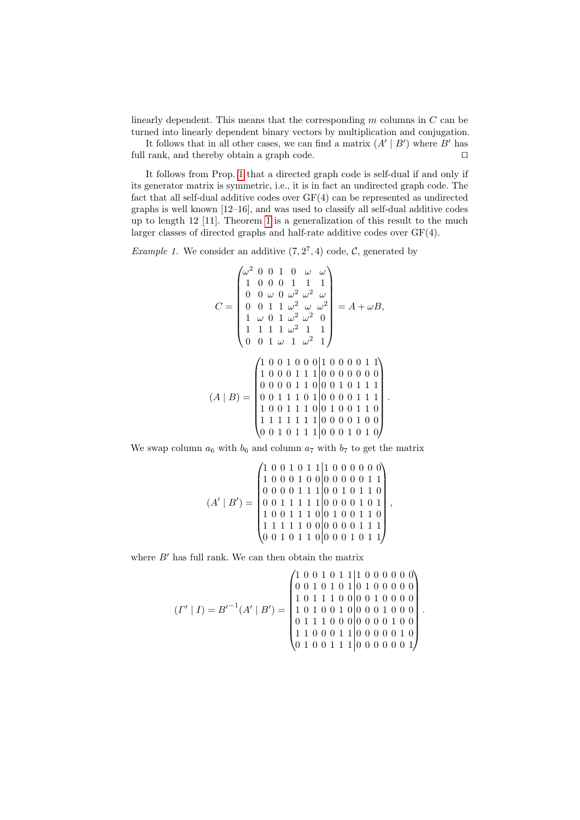linearly dependent. This means that the corresponding  $m$  columns in  $C$  can be turned into linearly dependent binary vectors by multiplication and conjugation.

It follows that in all other cases, we can find a matrix  $(A' | B')$  where B' has full rank, and thereby obtain a graph code.  $\Box$ 

It follows from Prop. [1](#page-3-0) that a directed graph code is self-dual if and only if its generator matrix is symmetric, i.e., it is in fact an undirected graph code. The fact that all self-dual additive codes over GF(4) can be represented as undirected graphs is well known [12–16], and was used to classify all self-dual additive codes up to length 12 [11]. Theorem [1](#page-3-1) is a generalization of this result to the much larger classes of directed graphs and half-rate additive codes over GF(4).

*Example 1.* We consider an additive  $(7, 2^7, 4)$  code, C, generated by

$$
C = \begin{pmatrix} \omega^2 & 0 & 0 & 1 & 0 & \omega & \omega \\ 1 & 0 & 0 & 0 & 1 & 1 & 1 \\ 0 & 0 & \omega & 0 & \omega^2 & \omega^2 & \omega \\ 0 & 0 & 1 & 1 & \omega^2 & \omega & \omega^2 \\ 1 & \omega & 0 & 1 & \omega^2 & \omega^2 & 0 \\ 1 & 1 & 1 & 1 & \omega^2 & 1 & 1 \\ 0 & 0 & 1 & \omega & 1 & \omega^2 & 1 \end{pmatrix} = A + \omega B,
$$
  
\n
$$
(A \mid B) = \begin{pmatrix} 1 & 0 & 0 & 1 & 0 & 0 & 0 & 1 & 1 \\ 1 & 0 & 0 & 1 & 0 & 1 & 0 & 0 & 0 & 0 & 1 \\ 1 & 0 & 0 & 0 & 1 & 1 & 1 & 0 & 0 & 0 & 0 & 0 \\ 0 & 0 & 0 & 1 & 1 & 1 & 0 & 0 & 0 & 0 & 1 & 1 \\ 1 & 0 & 0 & 1 & 1 & 1 & 0 & 0 & 0 & 0 & 1 & 1 \\ 1 & 1 & 1 & 1 & 1 & 1 & 1 & 0 & 0 & 0 & 0 & 1 & 0 \\ 0 & 0 & 1 & 0 & 1 & 1 & 1 & 0 & 0 & 0 & 0 & 1 & 0 \end{pmatrix}
$$

.

.

We swap column  $a_6$  with  $b_6$  and column  $a_7$  with  $b_7$  to get the matrix

$$
(A' | B') = \begin{pmatrix} 1 & 0 & 0 & 1 & 0 & 1 & 1 & 1 & 0 & 0 & 0 & 0 & 0 & 0 \\ 1 & 0 & 0 & 0 & 1 & 0 & 0 & 0 & 0 & 0 & 0 & 1 & 1 \\ 0 & 0 & 0 & 0 & 1 & 1 & 1 & 0 & 0 & 1 & 0 & 1 & 1 \\ 0 & 0 & 1 & 1 & 1 & 1 & 1 & 0 & 0 & 0 & 0 & 1 & 0 & 1 \\ 1 & 0 & 0 & 1 & 1 & 1 & 0 & 0 & 0 & 0 & 0 & 1 & 1 & 1 \\ 1 & 1 & 1 & 1 & 0 & 0 & 0 & 0 & 0 & 0 & 1 & 1 & 1 \\ 0 & 0 & 1 & 0 & 1 & 1 & 0 & 0 & 0 & 0 & 1 & 0 & 1 \end{pmatrix},
$$

where  $B'$  has full rank. We can then obtain the matrix

$$
(I' \mid I) = B'^{-1}(A' \mid B') = \begin{pmatrix} 1 & 0 & 0 & 1 & 0 & 1 & 1 & 1 & 0 & 0 & 0 & 0 & 0 & 0 \\ 0 & 0 & 1 & 0 & 1 & 0 & 1 & 0 & 1 & 0 & 0 & 0 & 0 & 0 \\ 1 & 0 & 1 & 1 & 1 & 0 & 0 & 0 & 0 & 0 & 0 & 0 \\ 1 & 0 & 1 & 0 & 0 & 0 & 1 & 0 & 0 & 0 & 0 & 0 \\ 0 & 1 & 1 & 1 & 0 & 0 & 0 & 0 & 0 & 1 & 0 & 0 \\ 1 & 1 & 0 & 0 & 0 & 1 & 1 & 0 & 0 & 0 & 0 & 0 & 1 \\ 0 & 1 & 0 & 0 & 1 & 1 & 1 & 0 & 0 & 0 & 0 & 0 & 1 \end{pmatrix}
$$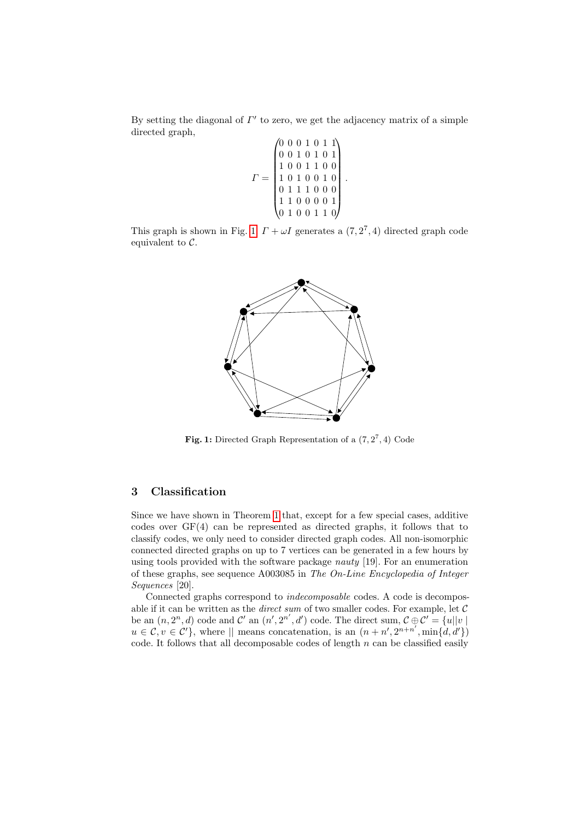By setting the diagonal of  $\Gamma'$  to zero, we get the adjacency matrix of a simple directed graph,

$$
\Gamma = \begin{pmatrix} 0 & 0 & 0 & 1 & 0 & 1 & 1 \\ 0 & 0 & 1 & 0 & 1 & 0 & 1 \\ 1 & 0 & 0 & 1 & 1 & 0 & 0 \\ 1 & 0 & 1 & 0 & 0 & 1 & 0 \\ 0 & 1 & 1 & 1 & 0 & 0 & 0 \\ 1 & 1 & 0 & 0 & 0 & 0 & 1 \\ 0 & 1 & 0 & 0 & 0 & 1 & 1 & 0 \end{pmatrix}.
$$

This graph is shown in Fig. [1.](#page-5-0)  $\Gamma + \omega I$  generates a  $(7, 2^7, 4)$  directed graph code equivalent to  $\mathcal{C}$ .



<span id="page-5-0"></span>Fig. 1: Directed Graph Representation of a  $(7,2^7,4)$  Code

# 3 Classification

Since we have shown in Theorem [1](#page-3-1) that, except for a few special cases, additive codes over GF(4) can be represented as directed graphs, it follows that to classify codes, we only need to consider directed graph codes. All non-isomorphic connected directed graphs on up to 7 vertices can be generated in a few hours by using tools provided with the software package *nauty* [19]. For an enumeration of these graphs, see sequence A003085 in The On-Line Encyclopedia of Integer Sequences [20].

Connected graphs correspond to indecomposable codes. A code is decomposable if it can be written as the *direct sum* of two smaller codes. For example, let  $C$ be an  $(n, 2^n, d)$  code and  $\mathcal{C}'$  an  $(n', 2^{n'}, d')$  code. The direct sum,  $\mathcal{C} \oplus \mathcal{C}' = \{u||v \mid$  $u \in \mathcal{C}, v \in \mathcal{C}'$ , where  $||$  means concatenation, is an  $(n + n', 2^{n+n'}, \min\{d, d'\})$ code. It follows that all decomposable codes of length  $n$  can be classified easily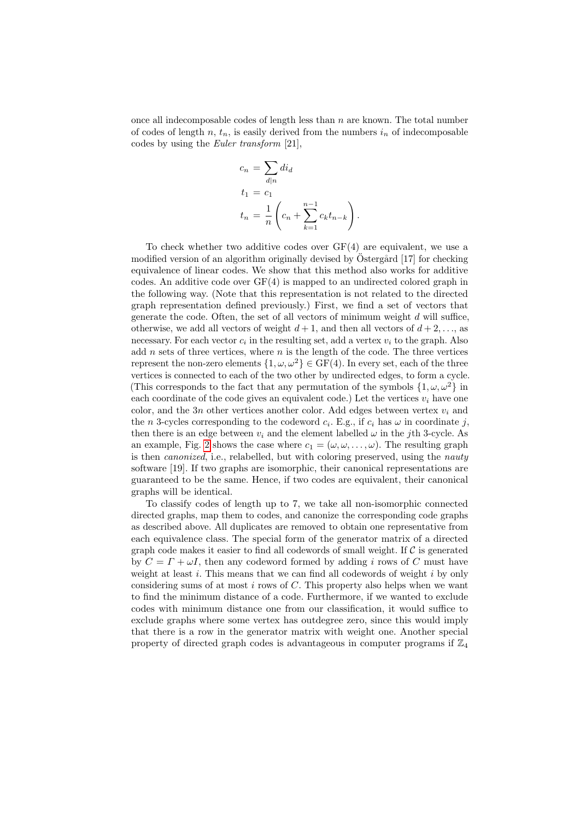once all indecomposable codes of length less than  $n$  are known. The total number of codes of length n,  $t_n$ , is easily derived from the numbers  $i_n$  of indecomposable codes by using the Euler transform [21],

$$
c_n = \sum_{d|n} di_d
$$
  
\n
$$
t_1 = c_1
$$
  
\n
$$
t_n = \frac{1}{n} \left( c_n + \sum_{k=1}^{n-1} c_k t_{n-k} \right).
$$

To check whether two additive codes over  $GF(4)$  are equivalent, we use a modified version of an algorithm originally devised by Ostergård  $[17]$  for checking equivalence of linear codes. We show that this method also works for additive codes. An additive code over GF(4) is mapped to an undirected colored graph in the following way. (Note that this representation is not related to the directed graph representation defined previously.) First, we find a set of vectors that generate the code. Often, the set of all vectors of minimum weight  $d$  will suffice, otherwise, we add all vectors of weight  $d+1$ , and then all vectors of  $d+2, \ldots$ , as necessary. For each vector  $c_i$  in the resulting set, add a vertex  $v_i$  to the graph. Also add  $n$  sets of three vertices, where  $n$  is the length of the code. The three vertices represent the non-zero elements  $\{1, \omega, \omega^2\} \in \text{GF}(4)$ . In every set, each of the three vertices is connected to each of the two other by undirected edges, to form a cycle. (This corresponds to the fact that any permutation of the symbols  $\{1, \omega, \omega^2\}$  in each coordinate of the code gives an equivalent code.) Let the vertices  $v_i$  have one color, and the 3n other vertices another color. Add edges between vertex  $v_i$  and the *n* 3-cycles corresponding to the codeword  $c_i$ . E.g., if  $c_i$  has  $\omega$  in coordinate j, then there is an edge between  $v_i$  and the element labelled  $\omega$  in the j<sup>th</sup> 3-cycle. As an example, Fig. [2](#page-7-0) shows the case where  $c_1 = (\omega, \omega, \dots, \omega)$ . The resulting graph is then *canonized*, i.e., relabelled, but with coloring preserved, using the *nauty* software [19]. If two graphs are isomorphic, their canonical representations are guaranteed to be the same. Hence, if two codes are equivalent, their canonical graphs will be identical.

To classify codes of length up to 7, we take all non-isomorphic connected directed graphs, map them to codes, and canonize the corresponding code graphs as described above. All duplicates are removed to obtain one representative from each equivalence class. The special form of the generator matrix of a directed graph code makes it easier to find all codewords of small weight. If  $\mathcal C$  is generated by  $C = \Gamma + \omega I$ , then any codeword formed by adding i rows of C must have weight at least  $i$ . This means that we can find all codewords of weight  $i$  by only considering sums of at most  $i$  rows of  $C$ . This property also helps when we want to find the minimum distance of a code. Furthermore, if we wanted to exclude codes with minimum distance one from our classification, it would suffice to exclude graphs where some vertex has outdegree zero, since this would imply that there is a row in the generator matrix with weight one. Another special property of directed graph codes is advantageous in computer programs if  $\mathbb{Z}_4$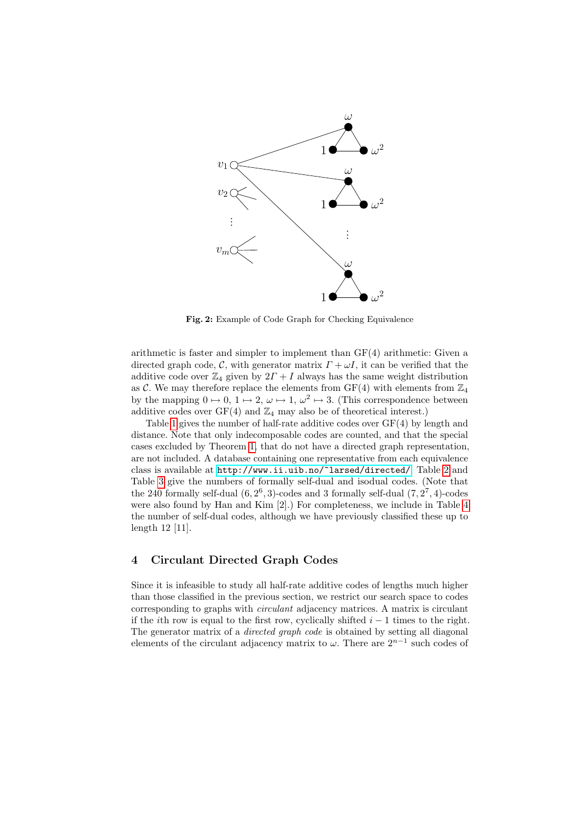

<span id="page-7-0"></span>Fig. 2: Example of Code Graph for Checking Equivalence

arithmetic is faster and simpler to implement than GF(4) arithmetic: Given a directed graph code, C, with generator matrix  $\Gamma + \omega I$ , it can be verified that the additive code over  $\mathbb{Z}_4$  given by  $2\Gamma + I$  always has the same weight distribution as C. We may therefore replace the elements from  $GF(4)$  with elements from  $\mathbb{Z}_4$ by the mapping  $0 \mapsto 0, 1 \mapsto 2, \omega \mapsto 1, \omega^2 \mapsto 3$ . (This correspondence between additive codes over  $GF(4)$  and  $\mathbb{Z}_4$  may also be of theoretical interest.)

Table [1](#page-8-0) gives the number of half-rate additive codes over GF(4) by length and distance. Note that only indecomposable codes are counted, and that the special cases excluded by Theorem [1,](#page-3-1) that do not have a directed graph representation, are not included. A database containing one representative from each equivalence class is available at <http://www.ii.uib.no/~larsed/directed/>. Table [2](#page-8-1) and Table [3](#page-8-2) give the numbers of formally self-dual and isodual codes. (Note that the 240 formally self-dual  $(6, 2^6, 3)$ -codes and 3 formally self-dual  $(7, 2^7, 4)$ -codes were also found by Han and Kim [2].) For completeness, we include in Table [4](#page-8-3) the number of self-dual codes, although we have previously classified these up to length 12 [11].

# 4 Circulant Directed Graph Codes

Since it is infeasible to study all half-rate additive codes of lengths much higher than those classified in the previous section, we restrict our search space to codes corresponding to graphs with circulant adjacency matrices. A matrix is circulant if the *i*th row is equal to the first row, cyclically shifted  $i - 1$  times to the right. The generator matrix of a *directed graph code* is obtained by setting all diagonal elements of the circulant adjacency matrix to  $\omega$ . There are  $2^{n-1}$  such codes of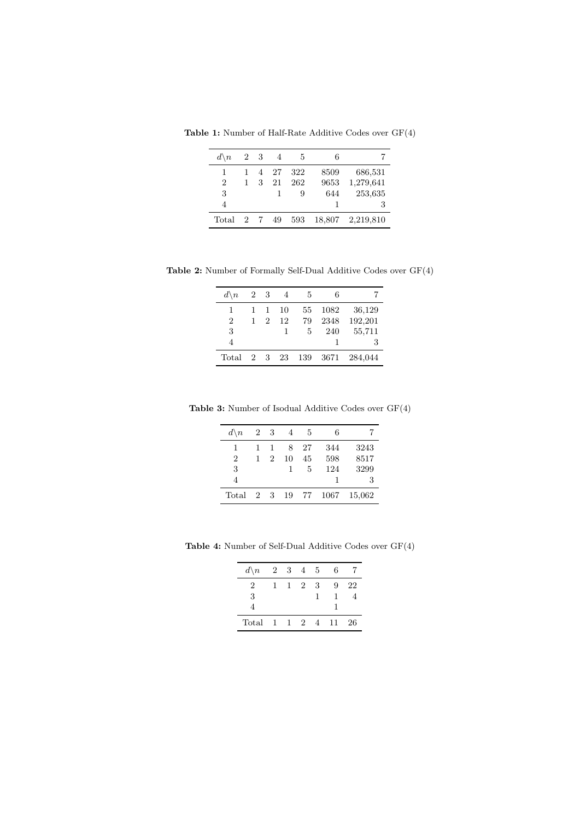Table 1: Number of Half-Rate Additive Codes over GF(4)

<span id="page-8-0"></span>

| $d \backslash n$ | 2 3 |   | -4   | -5  | 6      |           |
|------------------|-----|---|------|-----|--------|-----------|
| 1                | 1   |   | 4 27 | 322 | 8509   | 686,531   |
| $\mathfrak{D}$   | 1   | 3 | 21   | 262 | 9653   | 1,279,641 |
| 3                |     |   | 1    | 9   | 644    | 253,635   |
| 4                |     |   |      |     | 1      | 3         |
| Total            | 2 7 |   | 49   | 593 | 18,807 | 2,219,810 |

Table 2: Number of Formally Self-Dual Additive Codes over GF(4)

<span id="page-8-1"></span>

| $d \backslash n$ | 2 3 |                             | 4    | -5  | 6      |         |
|------------------|-----|-----------------------------|------|-----|--------|---------|
| 1                | 1   | -1                          | 10   | 55  | 1082   | 36,129  |
| $\overline{2}$   | 1   | $\mathcal{D}_{\mathcal{L}}$ | 12   | 79  | 2348   | 192,201 |
| 3                |     |                             | 1    | 5   | 240    | 55,711  |
| 4                |     |                             |      |     |        | 3       |
| Total 2 3        |     |                             | - 23 | 139 | - 3671 | 284,044 |

Table 3: Number of Isodual Additive Codes over GF(4)

<span id="page-8-2"></span>

| $d \backslash n$ | 2 3 |                             | 4  | 5  | 6    |        |
|------------------|-----|-----------------------------|----|----|------|--------|
| 1                | 1   | 1                           | 8  | 27 | 344  | 3243   |
| $\overline{2}$   | 1   | $\mathcal{D}_{\mathcal{L}}$ | 10 | 45 | 598  | 8517   |
| 3                |     |                             | 1  | 5  | 124  | 3299   |
| 4                |     |                             |    |    | 1    | 3      |
| Total            | 2 3 |                             | 19 | 77 | 1067 | 15,062 |

Table 4: Number of Self-Dual Additive Codes over GF(4)

<span id="page-8-3"></span>

| $d \backslash n$ |              |     | 2 3 4 5 |          | 6 |    |
|------------------|--------------|-----|---------|----------|---|----|
| 2                | 1.           | 1 2 |         | - 3      | 9 | 22 |
| 3                |              |     |         |          |   |    |
| 4                |              |     |         |          |   |    |
| Total            | $\mathbf{1}$ |     |         | 1 2 4 11 |   | 26 |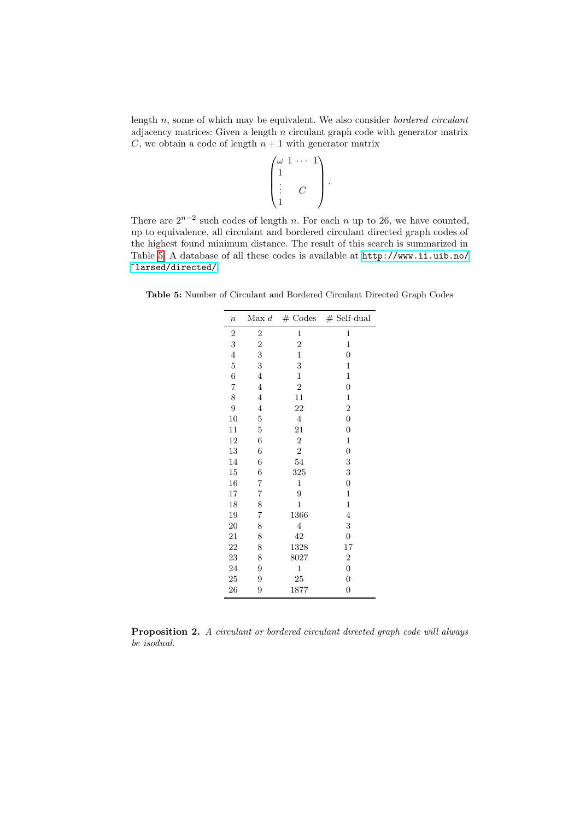length  $n$ , some of which may be equivalent. We also consider *bordered circulant* adjacency matrices: Given a length n circulant graph code with generator matrix C, we obtain a code of length  $n + 1$  with generator matrix

$$
\begin{pmatrix} \omega & 1 & \cdots & 1 \\ 1 & & & \\ \vdots & & C & \\ 1 & & & \end{pmatrix}.
$$

There are  $2^{n-2}$  such codes of length n. For each n up to 26, we have counted, up to equivalence, all circulant and bordered circulant directed graph codes of the highest found minimum distance. The result of this search is summarized in Table [5.](#page-9-0) A database of all these codes is available at [http://www.ii.uib.no/](http://www.ii.uib.no/~larsed/directed/) [~larsed/directed/](http://www.ii.uib.no/~larsed/directed/).

<span id="page-9-0"></span>Table 5: Number of Circulant and Bordered Circulant Directed Graph Codes

| $\boldsymbol{n}$ | Max d          | $#$ Codes               | $#$ Self-dual    |
|------------------|----------------|-------------------------|------------------|
| $\overline{c}$   | $\overline{2}$ | 1                       | 1                |
| 3                | $\overline{c}$ | $\overline{c}$          | $\mathbf 1$      |
| $\overline{4}$   | 3              | $\mathbf{1}$            | $\overline{0}$   |
| $\overline{5}$   | 3              | 3                       | $\mathbf{1}$     |
| 6                | $\overline{4}$ | $\mathbf{1}$            | $\mathbf{1}$     |
| $\overline{7}$   | $\overline{4}$ | $\overline{2}$          | $\boldsymbol{0}$ |
| 8                | $\overline{4}$ | 11                      | 1                |
| 9                | 4              | 22                      | $\boldsymbol{2}$ |
| 10               | $\overline{5}$ | $\overline{\mathbf{4}}$ | $\boldsymbol{0}$ |
| 11               | $\overline{5}$ | 21                      | $\overline{0}$   |
| 12               | 6              | $\overline{2}$          | $\mathbf 1$      |
| 13               | 6              | $\overline{2}$          | $\overline{0}$   |
| 14               | 6              | 54                      | 3                |
| 15               | $\overline{6}$ | 325                     | 3                |
| 16               | 7              | $\mathbf 1$             | 0                |
| 17               | 7              | 9                       | $\mathbf{1}$     |
| 18               | 8              | $\mathbf{1}$            | $\mathbf{1}$     |
| 19               | $\overline{7}$ | 1366                    | $\overline{4}$   |
| <b>20</b>        | 8              | $\overline{4}$          | 3                |
| 21               | 8              | 42                      | $\boldsymbol{0}$ |
| 22               | 8              | 1328                    | 17               |
| 23               | 8              | 8027                    | $\overline{2}$   |
| 24               | 9              | $\mathbf 1$             | $\overline{0}$   |
| 25               | 9              | 25                      | 0                |
| 26               | 9              | 1877                    | $\boldsymbol{0}$ |

Proposition 2. A circulant or bordered circulant directed graph code will always be isodual.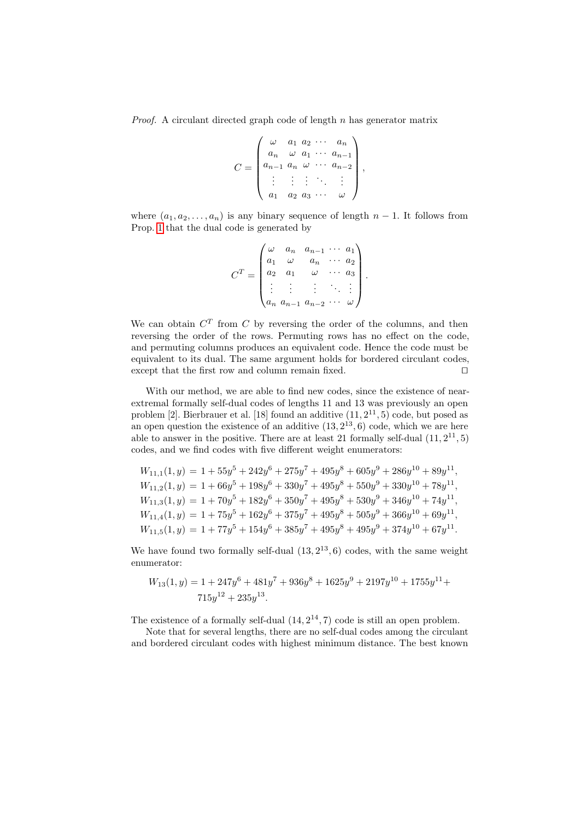*Proof.* A circulant directed graph code of length  $n$  has generator matrix

$$
C = \begin{pmatrix} \omega & a_1 & a_2 & \cdots & a_n \\ a_n & \omega & a_1 & \cdots & a_{n-1} \\ a_{n-1} & a_n & \omega & \cdots & a_{n-2} \\ \vdots & \vdots & \vdots & \ddots & \vdots \\ a_1 & a_2 & a_3 & \cdots & \omega \end{pmatrix},
$$

where  $(a_1, a_2, \ldots, a_n)$  is any binary sequence of length  $n-1$ . It follows from Prop. [1](#page-3-0) that the dual code is generated by

$$
CT = \begin{pmatrix} \omega & a_n & a_{n-1} & \cdots & a_1 \\ a_1 & \omega & a_n & \cdots & a_2 \\ a_2 & a_1 & \omega & \cdots & a_3 \\ \vdots & \vdots & \vdots & \ddots & \vdots \\ a_n & a_{n-1} & a_{n-2} & \cdots & \omega \end{pmatrix}.
$$

We can obtain  $C<sup>T</sup>$  from C by reversing the order of the columns, and then reversing the order of the rows. Permuting rows has no effect on the code, and permuting columns produces an equivalent code. Hence the code must be equivalent to its dual. The same argument holds for bordered circulant codes, except that the first row and column remain fixed.  $\Box$ 

With our method, we are able to find new codes, since the existence of nearextremal formally self-dual codes of lengths 11 and 13 was previously an open problem  $[2]$ . Bierbrauer et al.  $[18]$  found an additive  $(11, 2^{11}, 5)$  code, but posed as an open question the existence of an additive  $(13, 2^{13}, 6)$  code, which we are here able to answer in the positive. There are at least 21 formally self-dual  $(11, 2^{11}, 5)$ codes, and we find codes with five different weight enumerators:

$$
W_{11,1}(1,y) = 1 + 55y^5 + 242y^6 + 275y^7 + 495y^8 + 605y^9 + 286y^{10} + 89y^{11},
$$
  
\n
$$
W_{11,2}(1,y) = 1 + 66y^5 + 198y^6 + 330y^7 + 495y^8 + 550y^9 + 330y^{10} + 78y^{11},
$$
  
\n
$$
W_{11,3}(1,y) = 1 + 70y^5 + 182y^6 + 350y^7 + 495y^8 + 530y^9 + 346y^{10} + 74y^{11},
$$
  
\n
$$
W_{11,4}(1,y) = 1 + 75y^5 + 162y^6 + 375y^7 + 495y^8 + 505y^9 + 366y^{10} + 69y^{11},
$$
  
\n
$$
W_{11,5}(1,y) = 1 + 77y^5 + 154y^6 + 385y^7 + 495y^8 + 495y^9 + 374y^{10} + 67y^{11}.
$$

We have found two formally self-dual  $(13, 2^{13}, 6)$  codes, with the same weight enumerator:

$$
W_{13}(1,y) = 1 + 247y^{6} + 481y^{7} + 936y^{8} + 1625y^{9} + 2197y^{10} + 1755y^{11} + 715y^{12} + 235y^{13}.
$$

The existence of a formally self-dual  $(14, 2^{14}, 7)$  code is still an open problem.

Note that for several lengths, there are no self-dual codes among the circulant and bordered circulant codes with highest minimum distance. The best known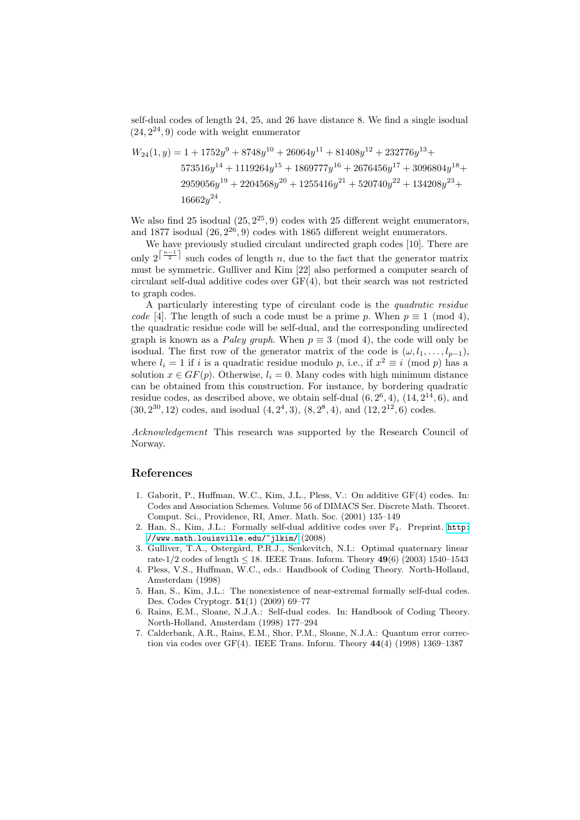self-dual codes of length 24, 25, and 26 have distance 8. We find a single isodual  $(24, 2^{24}, 9)$  code with weight enumerator

$$
W_{24}(1,y) = 1 + 1752y^9 + 8748y^{10} + 26064y^{11} + 81408y^{12} + 232776y^{13} + 573516y^{14} + 1119264y^{15} + 1869777y^{16} + 2676456y^{17} + 3096804y^{18} + 2959056y^{19} + 2204568y^{20} + 1255416y^{21} + 520740y^{22} + 134208y^{23} + 16662y^{24}.
$$

We also find 25 isodual  $(25, 2^{25}, 9)$  codes with 25 different weight enumerators, and 1877 isodual  $(26, 2^{26}, 9)$  codes with 1865 different weight enumerators.

We have previously studied circulant undirected graph codes [10]. There are only  $2^{\lceil \frac{n-1}{2} \rceil}$  such codes of length n, due to the fact that the generator matrix must be symmetric. Gulliver and Kim [22] also performed a computer search of circulant self-dual additive codes over GF(4), but their search was not restricted to graph codes.

A particularly interesting type of circulant code is the quadratic residue code [4]. The length of such a code must be a prime p. When  $p \equiv 1 \pmod{4}$ , the quadratic residue code will be self-dual, and the corresponding undirected graph is known as a *Paley graph*. When  $p \equiv 3 \pmod{4}$ , the code will only be isodual. The first row of the generator matrix of the code is  $(\omega, l_1, \ldots, l_{p-1}),$ where  $l_i = 1$  if i is a quadratic residue modulo p, i.e., if  $x^2 \equiv i \pmod{p}$  has a solution  $x \in GF(p)$ . Otherwise,  $l_i = 0$ . Many codes with high minimum distance can be obtained from this construction. For instance, by bordering quadratic residue codes, as described above, we obtain self-dual  $(6, 2^6, 4)$ ,  $(14, 2^{14}, 6)$ , and  $(30, 2^{30}, 12)$  codes, and isodual  $(4, 2^4, 3), (8, 2^8, 4)$ , and  $(12, 2^{12}, 6)$  codes.

Acknowledgement This research was supported by the Research Council of Norway.

#### References

- 1. Gaborit, P., Huffman, W.C., Kim, J.L., Pless, V.: On additive GF(4) codes. In: Codes and Association Schemes. Volume 56 of DIMACS Ser. Discrete Math. Theoret. Comput. Sci., Providence, RI, Amer. Math. Soc. (2001) 135–149
- 2. Han, S., Kim, J.L.: Formally self-dual additive codes over  $\mathbb{F}_4$ . Preprint. [http:](http://www.math.louisville.edu/~jlkim/) [//www.math.louisville.edu/~jlkim/](http://www.math.louisville.edu/~jlkim/) (2008)
- 3. Gulliver, T.A., Östergård, P.R.J., Senkevitch, N.I.: Optimal quaternary linear rate-1/2 codes of length  $\leq$  18. IEEE Trans. Inform. Theory 49(6) (2003) 1540–1543
- 4. Pless, V.S., Huffman, W.C., eds.: Handbook of Coding Theory. North-Holland, Amsterdam (1998)
- 5. Han, S., Kim, J.L.: The nonexistence of near-extremal formally self-dual codes. Des. Codes Cryptogr. 51(1) (2009) 69–77
- 6. Rains, E.M., Sloane, N.J.A.: Self-dual codes. In: Handbook of Coding Theory. North-Holland, Amsterdam (1998) 177–294
- 7. Calderbank, A.R., Rains, E.M., Shor, P.M., Sloane, N.J.A.: Quantum error correction via codes over  $GF(4)$ . IEEE Trans. Inform. Theory  $44(4)$  (1998) 1369–1387